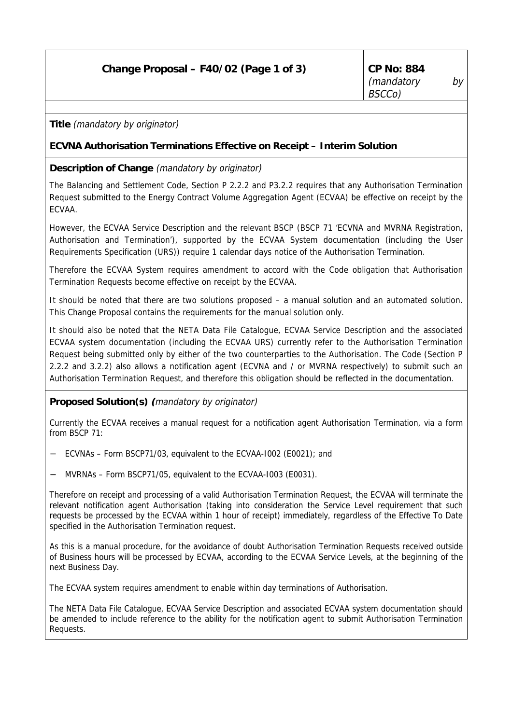# **Change Proposal – F40/02 (Page 1 of 3) CP No: 884**

**Title** (mandatory by originator)

# **ECVNA Authorisation Terminations Effective on Receipt – Interim Solution**

# **Description of Change** (mandatory by originator)

The Balancing and Settlement Code, Section P 2.2.2 and P3.2.2 requires that any Authorisation Termination Request submitted to the Energy Contract Volume Aggregation Agent (ECVAA) be effective on receipt by the ECVAA.

However, the ECVAA Service Description and the relevant BSCP (BSCP 71 'ECVNA and MVRNA Registration, Authorisation and Termination'), supported by the ECVAA System documentation (including the User Requirements Specification (URS)) require 1 calendar days notice of the Authorisation Termination.

Therefore the ECVAA System requires amendment to accord with the Code obligation that Authorisation Termination Requests become effective on receipt by the ECVAA.

It should be noted that there are two solutions proposed – a manual solution and an automated solution. This Change Proposal contains the requirements for the manual solution only.

It should also be noted that the NETA Data File Catalogue, ECVAA Service Description and the associated ECVAA system documentation (including the ECVAA URS) currently refer to the Authorisation Termination Request being submitted only by either of the two counterparties to the Authorisation. The Code (Section P 2.2.2 and 3.2.2) also allows a notification agent (ECVNA and / or MVRNA respectively) to submit such an Authorisation Termination Request, and therefore this obligation should be reflected in the documentation.

## **Proposed Solution(s) (**mandatory by originator)

Currently the ECVAA receives a manual request for a notification agent Authorisation Termination, via a form from BSCP 71:

- − ECVNAs Form BSCP71/03, equivalent to the ECVAA-I002 (E0021); and
- − MVRNAs Form BSCP71/05, equivalent to the ECVAA-I003 (E0031).

Therefore on receipt and processing of a valid Authorisation Termination Request, the ECVAA will terminate the relevant notification agent Authorisation (taking into consideration the Service Level requirement that such requests be processed by the ECVAA within 1 hour of receipt) immediately, regardless of the Effective To Date specified in the Authorisation Termination request.

As this is a manual procedure, for the avoidance of doubt Authorisation Termination Requests received outside of Business hours will be processed by ECVAA, according to the ECVAA Service Levels, at the beginning of the next Business Day.

The ECVAA system requires amendment to enable within day terminations of Authorisation.

The NETA Data File Catalogue, ECVAA Service Description and associated ECVAA system documentation should be amended to include reference to the ability for the notification agent to submit Authorisation Termination Requests.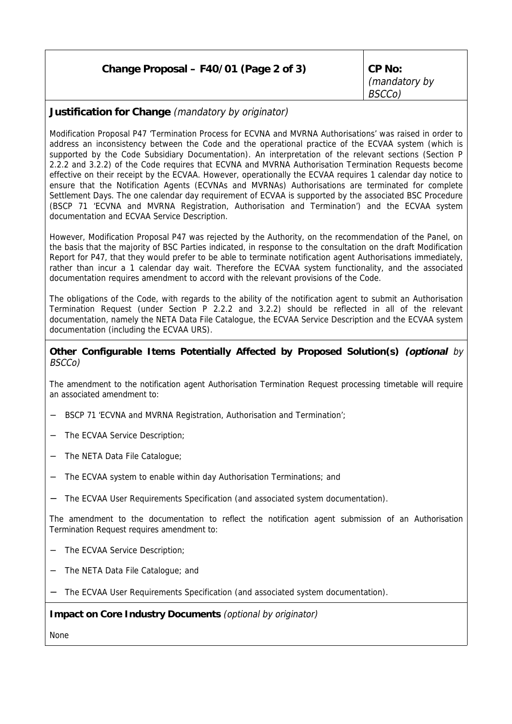| Change Proposal - F40/01 (Page 2 of 3) | CP No:<br>(mandatory by<br>BSCCo) |
|----------------------------------------|-----------------------------------|
|                                        |                                   |

# **Justification for Change** (mandatory by originator)

Modification Proposal P47 'Termination Process for ECVNA and MVRNA Authorisations' was raised in order to address an inconsistency between the Code and the operational practice of the ECVAA system (which is supported by the Code Subsidiary Documentation). An interpretation of the relevant sections (Section P 2.2.2 and 3.2.2) of the Code requires that ECVNA and MVRNA Authorisation Termination Requests become effective on their receipt by the ECVAA. However, operationally the ECVAA requires 1 calendar day notice to ensure that the Notification Agents (ECVNAs and MVRNAs) Authorisations are terminated for complete Settlement Days. The one calendar day requirement of ECVAA is supported by the associated BSC Procedure (BSCP 71 'ECVNA and MVRNA Registration, Authorisation and Termination') and the ECVAA system documentation and ECVAA Service Description.

However, Modification Proposal P47 was rejected by the Authority, on the recommendation of the Panel, on the basis that the majority of BSC Parties indicated, in response to the consultation on the draft Modification Report for P47, that they would prefer to be able to terminate notification agent Authorisations immediately, rather than incur a 1 calendar day wait. Therefore the ECVAA system functionality, and the associated documentation requires amendment to accord with the relevant provisions of the Code.

The obligations of the Code, with regards to the ability of the notification agent to submit an Authorisation Termination Request (under Section P 2.2.2 and 3.2.2) should be reflected in all of the relevant documentation, namely the NETA Data File Catalogue, the ECVAA Service Description and the ECVAA system documentation (including the ECVAA URS).

### **Other Configurable Items Potentially Affected by Proposed Solution(s) (optional** by BSCCo)

The amendment to the notification agent Authorisation Termination Request processing timetable will require an associated amendment to:

- − BSCP 71 'ECVNA and MVRNA Registration, Authorisation and Termination';
- The ECVAA Service Description;
- − The NETA Data File Catalogue;
- − The ECVAA system to enable within day Authorisation Terminations; and
- − The ECVAA User Requirements Specification (and associated system documentation).

The amendment to the documentation to reflect the notification agent submission of an Authorisation Termination Request requires amendment to:

- − The ECVAA Service Description;
- − The NETA Data File Catalogue; and
- − The ECVAA User Requirements Specification (and associated system documentation).

#### **Impact on Core Industry Documents** (optional by originator)

None